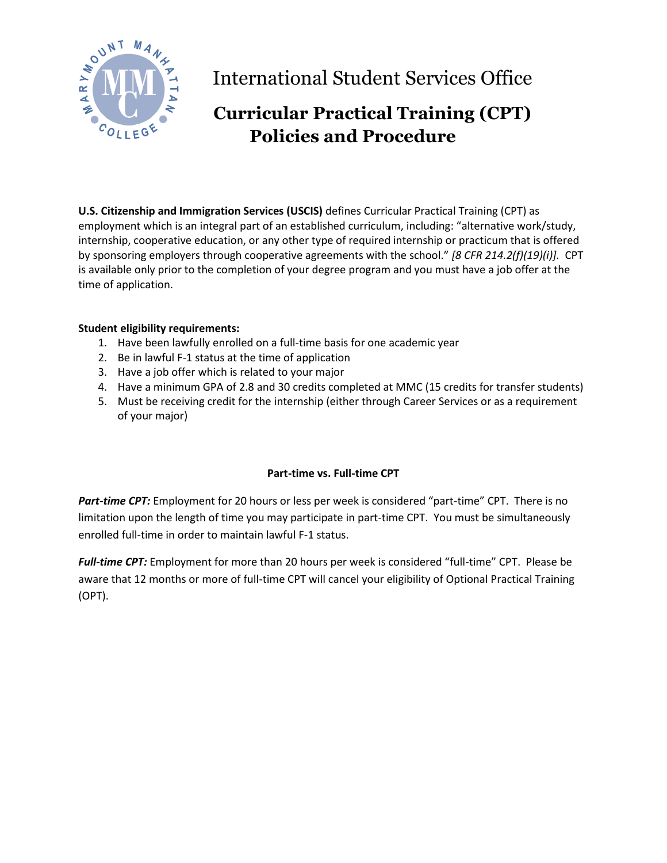

International Student Services Office

# **Curricular Practical Training (CPT) Policies and Procedure**

**U.S. Citizenship and Immigration Services (USCIS)** defines Curricular Practical Training (CPT) as employment which is an integral part of an established curriculum, including: "alternative work/study, internship, cooperative education, or any other type of required internship or practicum that is offered by sponsoring employers through cooperative agreements with the school." *[8 CFR 214.2(f)(19)(i)].* CPT is available only prior to the completion of your degree program and you must have a job offer at the time of application.

#### **Student eligibility requirements:**

- 1. Have been lawfully enrolled on a full-time basis for one academic year
- 2. Be in lawful F-1 status at the time of application
- 3. Have a job offer which is related to your major
- 4. Have a minimum GPA of 2.8 and 30 credits completed at MMC (15 credits for transfer students)
- 5. Must be receiving credit for the internship (either through Career Services or as a requirement of your major)

### **Part-time vs. Full-time CPT**

*Part-time CPT:* Employment for 20 hours or less per week is considered "part-time" CPT. There is no limitation upon the length of time you may participate in part-time CPT. You must be simultaneously enrolled full-time in order to maintain lawful F-1 status.

*Full-time CPT:* Employment for more than 20 hours per week is considered "full-time" CPT. Please be aware that 12 months or more of full-time CPT will cancel your eligibility of Optional Practical Training (OPT).